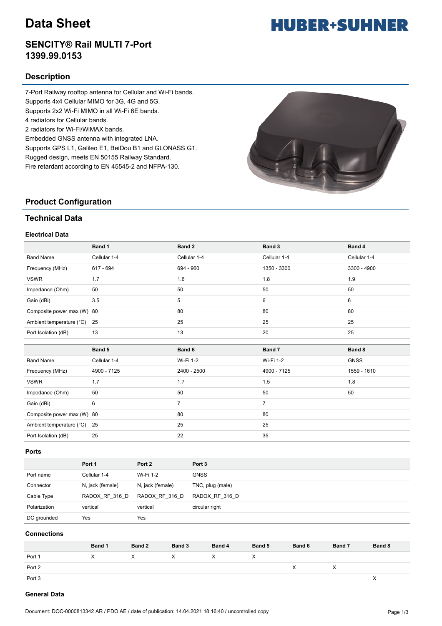# **Data Sheet**

## **SENCITY® Rail MULTI 7-Port 1399.99.0153**

## **Description**

7-Port Railway rooftop antenna for Cellular and Wi-Fi bands. Supports 4x4 Cellular MIMO for 3G, 4G and 5G. Supports 2x2 Wi-Fi MIMO in all Wi-Fi 6E bands. 4 radiators for Cellular bands. 2 radiators for Wi-Fi/WiMAX bands. Embedded GNSS antenna with integrated LNA. Supports GPS L1, Galileo E1, BeiDou B1 and GLONASS G1. Rugged design, meets EN 50155 Railway Standard. Fire retardant according to EN 45545-2 and NFPA-130.



## **Product Configuration**

## **Technical Data**

## **Electrical Data**

|                            | Band 1       | Band 2         | Band 3         | Band 4        |
|----------------------------|--------------|----------------|----------------|---------------|
| <b>Band Name</b>           | Cellular 1-4 | Cellular 1-4   | Cellular 1-4   | Cellular 1-4  |
| Frequency (MHz)            | 617 - 694    | 694 - 960      | 1350 - 3300    | $3300 - 4900$ |
| <b>VSWR</b>                | 1.7          | 1.6            | 1.8            | 1.9           |
| Impedance (Ohm)            | 50           | 50             | 50             | 50            |
| Gain (dBi)                 | 3.5          | 5              | 6              | 6             |
| Composite power max (W) 80 |              | 80             | 80             | 80            |
| Ambient temperature (°C)   | 25           | 25             | 25             | 25            |
| Port Isolation (dB)        | 13           | 13             | 20             | 25            |
|                            |              |                |                |               |
|                            |              |                |                |               |
|                            | Band 5       | Band 6         | Band 7         | Band 8        |
| <b>Band Name</b>           | Cellular 1-4 | Wi-Fi 1-2      | Wi-Fi 1-2      | <b>GNSS</b>   |
| Frequency (MHz)            | 4900 - 7125  | 2400 - 2500    | 4900 - 7125    | 1559 - 1610   |
| <b>VSWR</b>                | 1.7          | 1.7            | 1.5            | 1.8           |
| Impedance (Ohm)            | 50           | 50             | 50             | 50            |
| Gain (dBi)                 | 6            | $\overline{7}$ | $\overline{7}$ |               |
| Composite power max (W) 80 |              | 80             | 80             |               |
| Ambient temperature (°C)   | 25           | 25             | 25             |               |

#### **Ports**

|              | Port 1           | Port 2           | Port <sub>3</sub> |
|--------------|------------------|------------------|-------------------|
| Port name    | Cellular 1-4     | Wi-Fi 1-2        | <b>GNSS</b>       |
| Connector    | N, jack (female) | N, jack (female) | TNC, plug (male)  |
| Cable Type   | RADOX RF 316 D   | RADOX RF 316 D   | RADOX RF 316 D    |
| Polarization | vertical         | vertical         | circular right    |
| DC grounded  | Yes              | Yes              |                   |

### **Connections**

|        | Band 1 | Band 2 | Band 3 | Band 4 | Band 5 | Band 6 | Band 7 | Band 8 |
|--------|--------|--------|--------|--------|--------|--------|--------|--------|
| Port 1 | X      | X      | X      | X      | ᄉ      |        |        |        |
| Port 2 |        |        |        |        |        | х      | ⌒      |        |
| Port 3 |        |        |        |        |        |        |        |        |

### **General Data**

# **HUBER+SUHNER**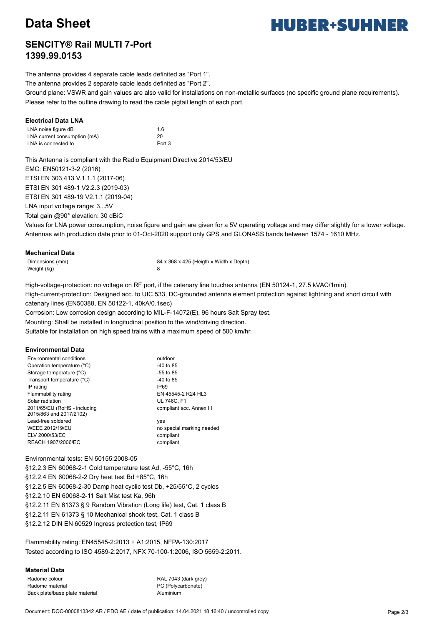# **Data Sheet**

# **HUBER+SUHNER**

## **SENCITY® Rail MULTI 7-Port 1399.99.0153**

The antenna provides 4 separate cable leads definited as "Port 1".

The antenna provides 2 separate cable leads definited as "Port 2".

Ground plane: VSWR and gain values are also valid for installations on non-metallic surfaces (no specific ground plane requirements). Please refer to the outline drawing to read the cable pigtail length of each port.

## **Electrical Data LNA**

| LNA noise figure dB          | 1.6    |
|------------------------------|--------|
| LNA current consumption (mA) | 20     |
| LNA is connected to          | Port 3 |

This Antenna is compliant with the Radio Equipment Directive 2014/53/EU EMC: EN50121-3-2 (2016) ETSI EN 303 413 V.1.1.1 (2017-06) ETSI EN 301 489-1 V2.2.3 (2019-03) ETSI EN 301 489-19 V2.1.1 (2019-04) LNA input voltage range: 3...5V Total gain @90° elevation: 30 dBiC

Values for LNA power consumption, noise figure and gain are given for a 5V operating voltage and may differ slightly for a lower voltage. Antennas with production date prior to 01-Oct-2020 support only GPS and GLONASS bands between 1574 - 1610 MHz.

## **Mechanical Data**

Weight (kg) 8

Dimensions (mm) 84 x 368 x 425 (Heigth x Width x Depth)

High-voltage-protection: no voltage on RF port, if the catenary line touches antenna (EN 50124-1, 27.5 kVAC/1min).

High-current-protection: Designed acc. to UIC 533, DC-grounded antenna element protection against lightning and short circuit with catenary lines (EN50388, EN 50122-1, 40kA/0.1sec)

Corrosion: Low corrosion design according to MIL-F-14072(E), 96 hours Salt Spray test.

Mounting: Shall be installed in longitudinal position to the wind/driving direction.

Suitable for installation on high speed trains with a maximum speed of 500 km/hr.

### **Environmental Data**

| Environmental conditions                                | outdoor                   |
|---------------------------------------------------------|---------------------------|
| Operation temperature (°C)                              | -40 to 85                 |
| Storage temperature (°C)                                | $-55$ to 85               |
| Transport temperature (°C)                              | $-40$ to 85               |
| IP rating                                               | IP <sub>69</sub>          |
| Flammability rating                                     | EN 45545-2 R24 HL3        |
| Solar radiation                                         | <b>UL 746C. F1</b>        |
| 2011/65/EU (RoHS - including<br>2015/863 and 2017/2102) | compliant acc. Annex III  |
| Lead-free soldered                                      | yes                       |
| <b>WEEE 2012/19/EU</b>                                  | no special marking needed |
| ELV 2000/53/EC                                          | compliant                 |
| REACH 1907/2006/EC                                      | compliant                 |

Environmental tests: EN 50155:2008-05 §12.2.3 EN 60068-2-1 Cold temperature test Ad, -55°C, 16h §12.2.4 EN 60068-2-2 Dry heat test Bd +85°C, 16h §12.2.5 EN 60068-2-30 Damp heat cyclic test Db, +25/55°C, 2 cycles §12.2.10 EN 60068-2-11 Salt Mist test Ka, 96h §12.2.11 EN 61373 § 9 Random Vibration (Long life) test, Cat. 1 class B §12.2.11 EN 61373 § 10 Mechanical shock test, Cat. 1 class B §12.2.12 DIN EN 60529 Ingress protection test, IP69

Flammability rating: EN45545-2:2013 + A1:2015, NFPA-130:2017 Tested according to ISO 4589-2:2017, NFX 70-100-1:2006, ISO 5659-2:2011.

### **Material Data**

Radome colour RAL 7043 (dark grey) Radome material example and the PC (Polycarbonate) Back plate/base plate material and a controller and aluminium